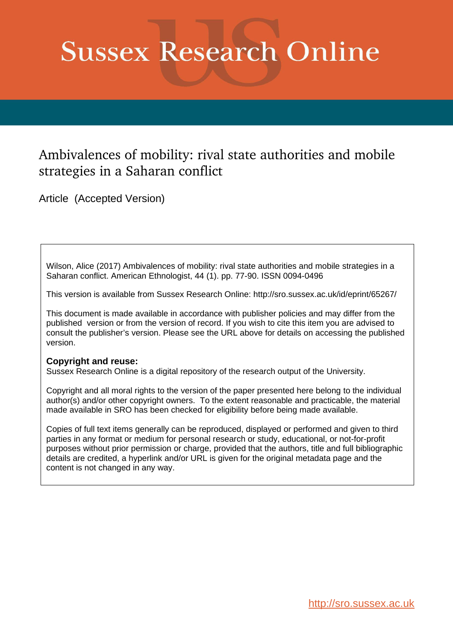# **Sussex Research Online**

## Ambivalences of mobility: rival state authorities and mobile strategies in a Saharan conflict

Article (Accepted Version)

Wilson, Alice (2017) Ambivalences of mobility: rival state authorities and mobile strategies in a Saharan conflict. American Ethnologist, 44 (1). pp. 77-90. ISSN 0094-0496

This version is available from Sussex Research Online: http://sro.sussex.ac.uk/id/eprint/65267/

This document is made available in accordance with publisher policies and may differ from the published version or from the version of record. If you wish to cite this item you are advised to consult the publisher's version. Please see the URL above for details on accessing the published version.

### **Copyright and reuse:**

Sussex Research Online is a digital repository of the research output of the University.

Copyright and all moral rights to the version of the paper presented here belong to the individual author(s) and/or other copyright owners. To the extent reasonable and practicable, the material made available in SRO has been checked for eligibility before being made available.

Copies of full text items generally can be reproduced, displayed or performed and given to third parties in any format or medium for personal research or study, educational, or not-for-profit purposes without prior permission or charge, provided that the authors, title and full bibliographic details are credited, a hyperlink and/or URL is given for the original metadata page and the content is not changed in any way.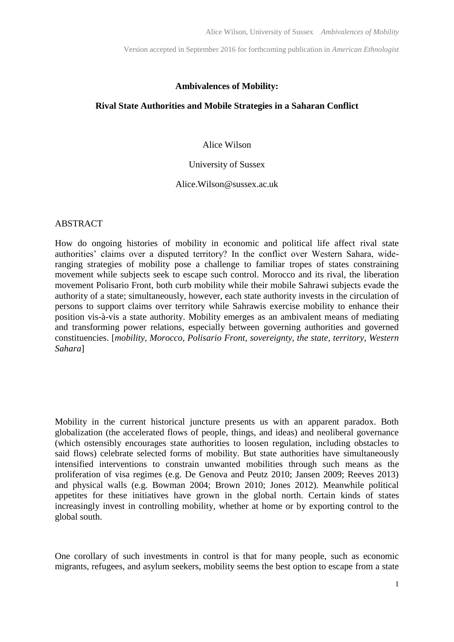#### **Ambivalences of Mobility:**

#### **Rival State Authorities and Mobile Strategies in a Saharan Conflict**

#### Alice Wilson

#### University of Sussex

#### Alice.Wilson@sussex.ac.uk

#### ABSTRACT

How do ongoing histories of mobility in economic and political life affect rival state authorities' claims over a disputed territory? In the conflict over Western Sahara, wideranging strategies of mobility pose a challenge to familiar tropes of states constraining movement while subjects seek to escape such control. Morocco and its rival, the liberation movement Polisario Front, both curb mobility while their mobile Sahrawi subjects evade the authority of a state; simultaneously, however, each state authority invests in the circulation of persons to support claims over territory while Sahrawis exercise mobility to enhance their position vis-à-vis a state authority. Mobility emerges as an ambivalent means of mediating and transforming power relations, especially between governing authorities and governed constituencies. [*mobility, Morocco, Polisario Front, sovereignty, the state, territory, Western Sahara*]

Mobility in the current historical juncture presents us with an apparent paradox. Both globalization (the accelerated flows of people, things, and ideas) and neoliberal governance (which ostensibly encourages state authorities to loosen regulation, including obstacles to said flows) celebrate selected forms of mobility. But state authorities have simultaneously intensified interventions to constrain unwanted mobilities through such means as the proliferation of visa regimes (e.g. De Genova and Peutz 2010; Jansen 2009; Reeves 2013) and physical walls (e.g. Bowman 2004; Brown 2010; Jones 2012). Meanwhile political appetites for these initiatives have grown in the global north. Certain kinds of states increasingly invest in controlling mobility, whether at home or by exporting control to the global south.

One corollary of such investments in control is that for many people, such as economic migrants, refugees, and asylum seekers, mobility seems the best option to escape from a state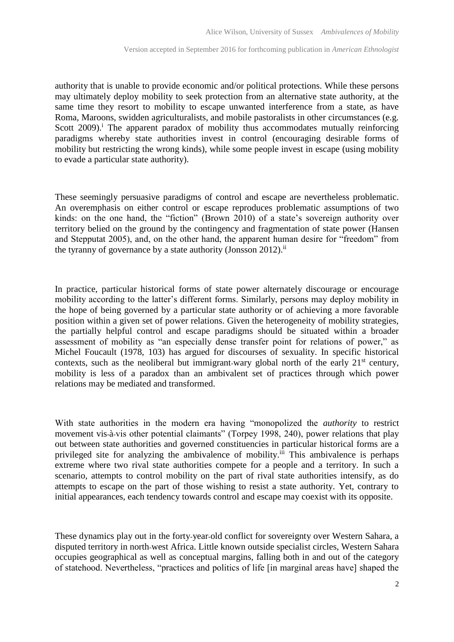authority that is unable to provide economic and/or political protections. While these persons may ultimately deploy mobility to seek protection from an alternative state authority, at the same time they resort to mobility to escape unwanted interference from a state, as have Roma, Maroons, swidden agriculturalists, and mobile pastoralists in other circumstances (e.g. Scott  $2009$ <sup>i</sup>. The apparent paradox of mobility thus accommodates mutually reinforcing paradigms whereby state authorities invest in control (encouraging desirable forms of mobility but restricting the wrong kinds), while some people invest in escape (using mobility to evade a particular state authority).

These seemingly persuasive paradigms of control and escape are nevertheless problematic. An overemphasis on either control or escape reproduces problematic assumptions of two kinds: on the one hand, the "fiction" (Brown 2010) of a state's sovereign authority over territory belied on the ground by the contingency and fragmentation of state power (Hansen and Stepputat 2005), and, on the other hand, the apparent human desire for "freedom" from the tyranny of governance by a state authority (Jonsson 2012).<sup>ii</sup>

In practice, particular historical forms of state power alternately discourage or encourage mobility according to the latter's different forms. Similarly, persons may deploy mobility in the hope of being governed by a particular state authority or of achieving a more favorable position within a given set of power relations. Given the heterogeneity of mobility strategies, the partially helpful control and escape paradigms should be situated within a broader assessment of mobility as "an especially dense transfer point for relations of power," as Michel Foucault (1978, 103) has argued for discourses of sexuality. In specific historical contexts, such as the neoliberal but immigrant-wary global north of the early  $21<sup>st</sup>$  century, mobility is less of a paradox than an ambivalent set of practices through which power relations may be mediated and transformed.

With state authorities in the modern era having "monopolized the *authority* to restrict movement vis-à-vis other potential claimants" (Torpey 1998, 240), power relations that play out between state authorities and governed constituencies in particular historical forms are a privileged site for analyzing the ambivalence of mobility.<sup>iii</sup> This ambivalence is perhaps extreme where two rival state authorities compete for a people and a territory. In such a scenario, attempts to control mobility on the part of rival state authorities intensify, as do attempts to escape on the part of those wishing to resist a state authority. Yet, contrary to initial appearances, each tendency towards control and escape may coexist with its opposite.

These dynamics play out in the forty-year-old conflict for sovereignty over Western Sahara, a disputed territory in north-west Africa. Little known outside specialist circles, Western Sahara occupies geographical as well as conceptual margins, falling both in and out of the category of statehood. Nevertheless, "practices and politics of life [in marginal areas have] shaped the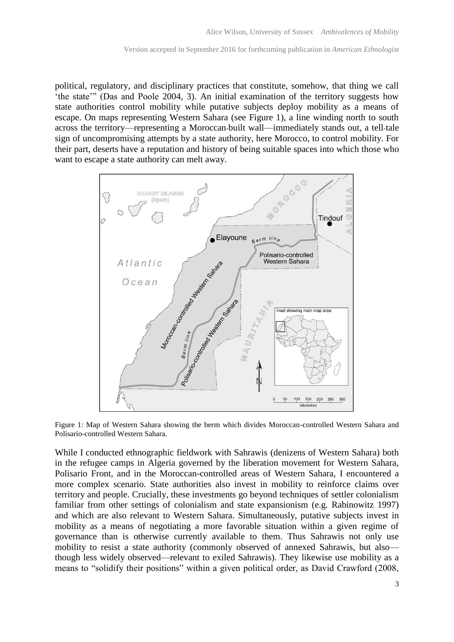political, regulatory, and disciplinary practices that constitute, somehow, that thing we call 'the state'" (Das and Poole 2004, 3). An initial examination of the territory suggests how state authorities control mobility while putative subjects deploy mobility as a means of escape. On maps representing Western Sahara (see Figure 1), a line winding north to south across the territory—representing a Moroccan-built wall—immediately stands out, a tell-tale sign of uncompromising attempts by a state authority, here Morocco, to control mobility. For their part, deserts have a reputation and history of being suitable spaces into which those who want to escape a state authority can melt away.



Figure 1: Map of Western Sahara showing the berm which divides Moroccan-controlled Western Sahara and Polisario-controlled Western Sahara.

While I conducted ethnographic fieldwork with Sahrawis (denizens of Western Sahara) both in the refugee camps in Algeria governed by the liberation movement for Western Sahara, Polisario Front, and in the Moroccan-controlled areas of Western Sahara, I encountered a more complex scenario. State authorities also invest in mobility to reinforce claims over territory and people. Crucially, these investments go beyond techniques of settler colonialism familiar from other settings of colonialism and state expansionism (e.g. Rabinowitz 1997) and which are also relevant to Western Sahara. Simultaneously, putative subjects invest in mobility as a means of negotiating a more favorable situation within a given regime of governance than is otherwise currently available to them. Thus Sahrawis not only use mobility to resist a state authority (commonly observed of annexed Sahrawis, but also though less widely observed—relevant to exiled Sahrawis). They likewise use mobility as a means to "solidify their positions" within a given political order, as David Crawford (2008,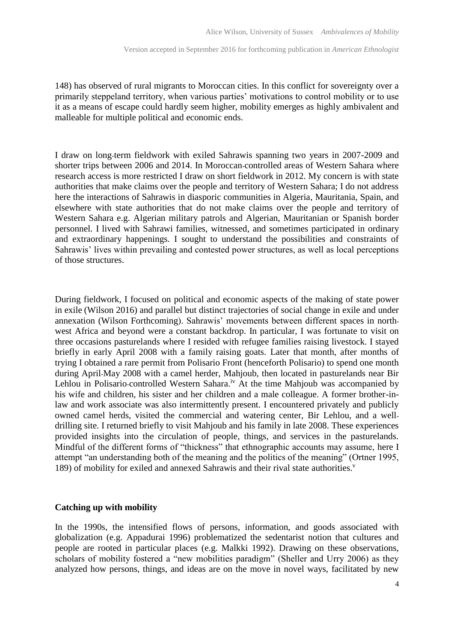148) has observed of rural migrants to Moroccan cities. In this conflict for sovereignty over a primarily steppeland territory, when various parties' motivations to control mobility or to use it as a means of escape could hardly seem higher, mobility emerges as highly ambivalent and malleable for multiple political and economic ends.

I draw on long-term fieldwork with exiled Sahrawis spanning two years in 2007-2009 and shorter trips between 2006 and 2014. In Moroccan-controlled areas of Western Sahara where research access is more restricted I draw on short fieldwork in 2012. My concern is with state authorities that make claims over the people and territory of Western Sahara; I do not address here the interactions of Sahrawis in diasporic communities in Algeria, Mauritania, Spain, and elsewhere with state authorities that do not make claims over the people and territory of Western Sahara e.g. Algerian military patrols and Algerian, Mauritanian or Spanish border personnel. I lived with Sahrawi families, witnessed, and sometimes participated in ordinary and extraordinary happenings. I sought to understand the possibilities and constraints of Sahrawis' lives within prevailing and contested power structures, as well as local perceptions of those structures.

During fieldwork, I focused on political and economic aspects of the making of state power in exile (Wilson 2016) and parallel but distinct trajectories of social change in exile and under annexation (Wilson Forthcoming). Sahrawis' movements between different spaces in northwest Africa and beyond were a constant backdrop. In particular, I was fortunate to visit on three occasions pasturelands where I resided with refugee families raising livestock. I stayed briefly in early April 2008 with a family raising goats. Later that month, after months of trying I obtained a rare permit from Polisario Front (henceforth Polisario) to spend one month during April-May 2008 with a camel herder, Mahjoub, then located in pasturelands near Bir Lehlou in Polisario-controlled Western Sahara.<sup>iv</sup> At the time Mahjoub was accompanied by his wife and children, his sister and her children and a male colleague. A former brother-inlaw and work associate was also intermittently present. I encountered privately and publicly owned camel herds, visited the commercial and watering center, Bir Lehlou, and a welldrilling site. I returned briefly to visit Mahjoub and his family in late 2008. These experiences provided insights into the circulation of people, things, and services in the pasturelands. Mindful of the different forms of "thickness" that ethnographic accounts may assume, here I attempt "an understanding both of the meaning and the politics of the meaning" (Ortner 1995, 189) of mobility for exiled and annexed Sahrawis and their rival state authorities.<sup>v</sup>

#### **Catching up with mobility**

In the 1990s, the intensified flows of persons, information, and goods associated with globalization (e.g. Appadurai 1996) problematized the sedentarist notion that cultures and people are rooted in particular places (e.g. Malkki 1992). Drawing on these observations, scholars of mobility fostered a "new mobilities paradigm" (Sheller and Urry 2006) as they analyzed how persons, things, and ideas are on the move in novel ways, facilitated by new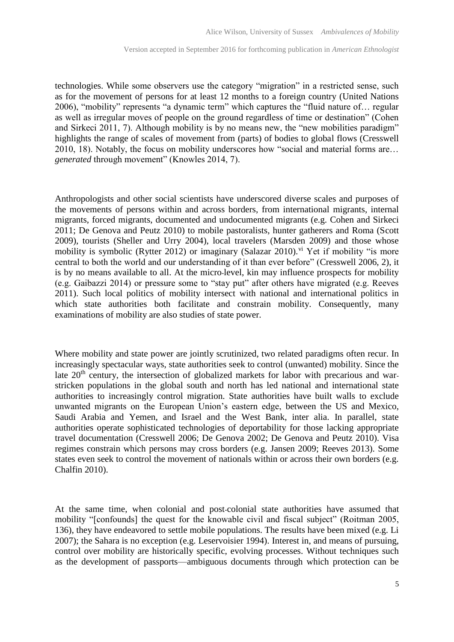technologies. While some observers use the category "migration" in a restricted sense, such as for the movement of persons for at least 12 months to a foreign country (United Nations 2006), "mobility" represents "a dynamic term" which captures the "fluid nature of… regular as well as irregular moves of people on the ground regardless of time or destination" (Cohen and Sirkeci 2011, 7). Although mobility is by no means new, the "new mobilities paradigm" highlights the range of scales of movement from (parts) of bodies to global flows (Cresswell 2010, 18). Notably, the focus on mobility underscores how "social and material forms are… *generated* through movement" (Knowles 2014, 7).

Anthropologists and other social scientists have underscored diverse scales and purposes of the movements of persons within and across borders, from international migrants, internal migrants, forced migrants, documented and undocumented migrants (e.g. Cohen and Sirkeci 2011; De Genova and Peutz 2010) to mobile pastoralists, hunter gatherers and Roma (Scott 2009), tourists (Sheller and Urry 2004), local travelers (Marsden 2009) and those whose mobility is symbolic (Rytter 2012) or imaginary (Salazar 2010).<sup>vi</sup> Yet if mobility "is more central to both the world and our understanding of it than ever before" (Cresswell 2006, 2), it is by no means available to all. At the micro-level, kin may influence prospects for mobility (e.g. Gaibazzi 2014) or pressure some to "stay put" after others have migrated (e.g. Reeves 2011). Such local politics of mobility intersect with national and international politics in which state authorities both facilitate and constrain mobility. Consequently, many examinations of mobility are also studies of state power.

Where mobility and state power are jointly scrutinized, two related paradigms often recur. In increasingly spectacular ways, state authorities seek to control (unwanted) mobility. Since the late  $20<sup>th</sup>$  century, the intersection of globalized markets for labor with precarious and warstricken populations in the global south and north has led national and international state authorities to increasingly control migration. State authorities have built walls to exclude unwanted migrants on the European Union's eastern edge, between the US and Mexico, Saudi Arabia and Yemen, and Israel and the West Bank, inter alia. In parallel, state authorities operate sophisticated technologies of deportability for those lacking appropriate travel documentation (Cresswell 2006; De Genova 2002; De Genova and Peutz 2010). Visa regimes constrain which persons may cross borders (e.g. Jansen 2009; Reeves 2013). Some states even seek to control the movement of nationals within or across their own borders (e.g. Chalfin 2010).

At the same time, when colonial and post-colonial state authorities have assumed that mobility "[confounds] the quest for the knowable civil and fiscal subject" (Roitman 2005, 136), they have endeavored to settle mobile populations. The results have been mixed (e.g. Li 2007); the Sahara is no exception (e.g. Leservoisier 1994). Interest in, and means of pursuing, control over mobility are historically specific, evolving processes. Without techniques such as the development of passports—ambiguous documents through which protection can be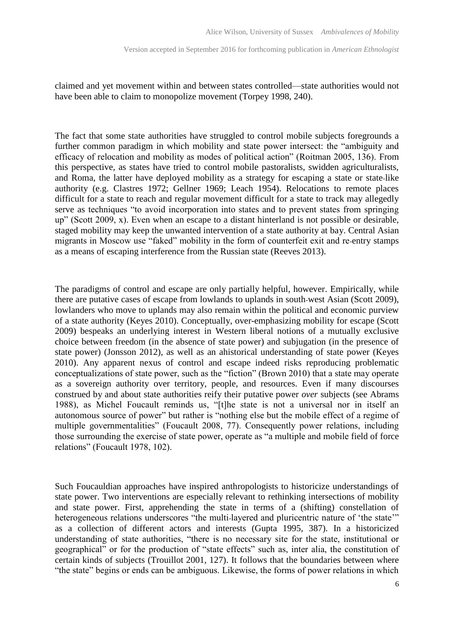claimed and yet movement within and between states controlled—state authorities would not have been able to claim to monopolize movement (Torpey 1998, 240).

The fact that some state authorities have struggled to control mobile subjects foregrounds a further common paradigm in which mobility and state power intersect: the "ambiguity and efficacy of relocation and mobility as modes of political action" (Roitman 2005, 136). From this perspective, as states have tried to control mobile pastoralists, swidden agriculturalists, and Roma, the latter have deployed mobility as a strategy for escaping a state or state-like authority (e.g. Clastres 1972; Gellner 1969; Leach 1954). Relocations to remote places difficult for a state to reach and regular movement difficult for a state to track may allegedly serve as techniques "to avoid incorporation into states and to prevent states from springing up" (Scott 2009, x). Even when an escape to a distant hinterland is not possible or desirable, staged mobility may keep the unwanted intervention of a state authority at bay. Central Asian migrants in Moscow use "faked" mobility in the form of counterfeit exit and re-entry stamps as a means of escaping interference from the Russian state (Reeves 2013).

The paradigms of control and escape are only partially helpful, however. Empirically, while there are putative cases of escape from lowlands to uplands in south-west Asian (Scott 2009), lowlanders who move to uplands may also remain within the political and economic purview of a state authority (Keyes 2010). Conceptually, over-emphasizing mobility for escape (Scott 2009) bespeaks an underlying interest in Western liberal notions of a mutually exclusive choice between freedom (in the absence of state power) and subjugation (in the presence of state power) (Jonsson 2012), as well as an ahistorical understanding of state power (Keyes 2010). Any apparent nexus of control and escape indeed risks reproducing problematic conceptualizations of state power, such as the "fiction" (Brown 2010) that a state may operate as a sovereign authority over territory, people, and resources. Even if many discourses construed by and about state authorities reify their putative power *over* subjects (see Abrams 1988), as Michel Foucault reminds us, "[t]he state is not a universal nor in itself an autonomous source of power" but rather is "nothing else but the mobile effect of a regime of multiple governmentalities" (Foucault 2008, 77). Consequently power relations, including those surrounding the exercise of state power, operate as "a multiple and mobile field of force relations" (Foucault 1978, 102).

Such Foucauldian approaches have inspired anthropologists to historicize understandings of state power. Two interventions are especially relevant to rethinking intersections of mobility and state power. First, apprehending the state in terms of a (shifting) constellation of heterogeneous relations underscores "the multi-layered and pluricentric nature of 'the state'" as a collection of different actors and interests (Gupta 1995, 387). In a historicized understanding of state authorities, "there is no necessary site for the state, institutional or geographical" or for the production of "state effects" such as, inter alia, the constitution of certain kinds of subjects (Trouillot 2001, 127). It follows that the boundaries between where "the state" begins or ends can be ambiguous. Likewise, the forms of power relations in which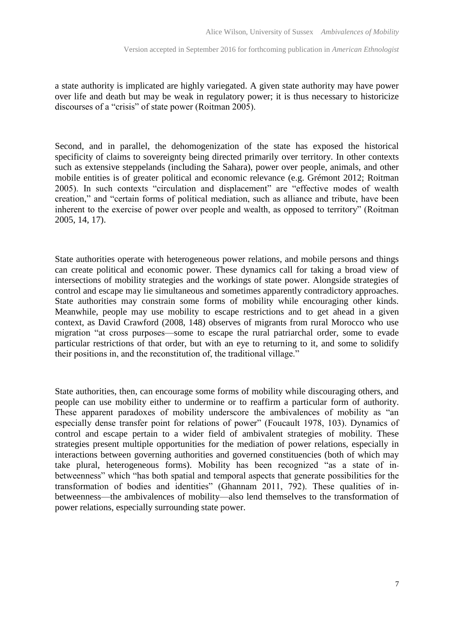a state authority is implicated are highly variegated. A given state authority may have power over life and death but may be weak in regulatory power; it is thus necessary to historicize discourses of a "crisis" of state power (Roitman 2005).

Second, and in parallel, the dehomogenization of the state has exposed the historical specificity of claims to sovereignty being directed primarily over territory. In other contexts such as extensive steppelands (including the Sahara), power over people, animals, and other mobile entities is of greater political and economic relevance (e.g. Grémont 2012; Roitman 2005). In such contexts "circulation and displacement" are "effective modes of wealth creation," and "certain forms of political mediation, such as alliance and tribute, have been inherent to the exercise of power over people and wealth, as opposed to territory" (Roitman 2005, 14, 17).

State authorities operate with heterogeneous power relations, and mobile persons and things can create political and economic power. These dynamics call for taking a broad view of intersections of mobility strategies and the workings of state power. Alongside strategies of control and escape may lie simultaneous and sometimes apparently contradictory approaches. State authorities may constrain some forms of mobility while encouraging other kinds. Meanwhile, people may use mobility to escape restrictions and to get ahead in a given context, as David Crawford (2008, 148) observes of migrants from rural Morocco who use migration "at cross purposes—some to escape the rural patriarchal order, some to evade particular restrictions of that order, but with an eye to returning to it, and some to solidify their positions in, and the reconstitution of, the traditional village."

State authorities, then, can encourage some forms of mobility while discouraging others, and people can use mobility either to undermine or to reaffirm a particular form of authority. These apparent paradoxes of mobility underscore the ambivalences of mobility as "an especially dense transfer point for relations of power" (Foucault 1978, 103). Dynamics of control and escape pertain to a wider field of ambivalent strategies of mobility. These strategies present multiple opportunities for the mediation of power relations, especially in interactions between governing authorities and governed constituencies (both of which may take plural, heterogeneous forms). Mobility has been recognized "as a state of inbetweenness" which "has both spatial and temporal aspects that generate possibilities for the transformation of bodies and identities" (Ghannam 2011, 792). These qualities of inbetweenness—the ambivalences of mobility—also lend themselves to the transformation of power relations, especially surrounding state power.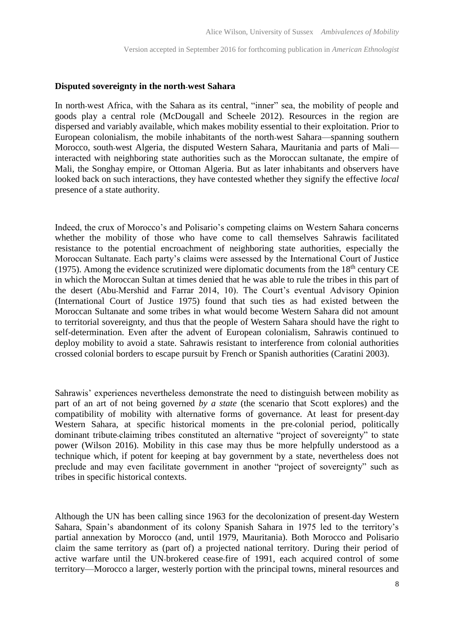#### **Disputed sovereignty in the north-west Sahara**

In north-west Africa, with the Sahara as its central, "inner" sea, the mobility of people and goods play a central role (McDougall and Scheele 2012). Resources in the region are dispersed and variably available, which makes mobility essential to their exploitation. Prior to European colonialism, the mobile inhabitants of the north-west Sahara—spanning southern Morocco, south-west Algeria, the disputed Western Sahara, Mauritania and parts of Mali interacted with neighboring state authorities such as the Moroccan sultanate, the empire of Mali, the Songhay empire, or Ottoman Algeria. But as later inhabitants and observers have looked back on such interactions, they have contested whether they signify the effective *local* presence of a state authority.

Indeed, the crux of Morocco's and Polisario's competing claims on Western Sahara concerns whether the mobility of those who have come to call themselves Sahrawis facilitated resistance to the potential encroachment of neighboring state authorities, especially the Moroccan Sultanate. Each party's claims were assessed by the International Court of Justice (1975). Among the evidence scrutinized were diplomatic documents from the  $18<sup>th</sup>$  century CE in which the Moroccan Sultan at times denied that he was able to rule the tribes in this part of the desert (Abu-Mershid and Farrar 2014, 10). The Court's eventual Advisory Opinion (International Court of Justice 1975) found that such ties as had existed between the Moroccan Sultanate and some tribes in what would become Western Sahara did not amount to territorial sovereignty, and thus that the people of Western Sahara should have the right to self-determination. Even after the advent of European colonialism, Sahrawis continued to deploy mobility to avoid a state. Sahrawis resistant to interference from colonial authorities crossed colonial borders to escape pursuit by French or Spanish authorities (Caratini 2003).

Sahrawis' experiences nevertheless demonstrate the need to distinguish between mobility as part of an art of not being governed *by a state* (the scenario that Scott explores) and the compatibility of mobility with alternative forms of governance. At least for present-day Western Sahara, at specific historical moments in the pre-colonial period, politically dominant tribute-claiming tribes constituted an alternative "project of sovereignty" to state power (Wilson 2016). Mobility in this case may thus be more helpfully understood as a technique which, if potent for keeping at bay government by a state, nevertheless does not preclude and may even facilitate government in another "project of sovereignty" such as tribes in specific historical contexts.

Although the UN has been calling since 1963 for the decolonization of present-day Western Sahara, Spain's abandonment of its colony Spanish Sahara in 1975 led to the territory's partial annexation by Morocco (and, until 1979, Mauritania). Both Morocco and Polisario claim the same territory as (part of) a projected national territory. During their period of active warfare until the UN-brokered cease-fire of 1991, each acquired control of some territory—Morocco a larger, westerly portion with the principal towns, mineral resources and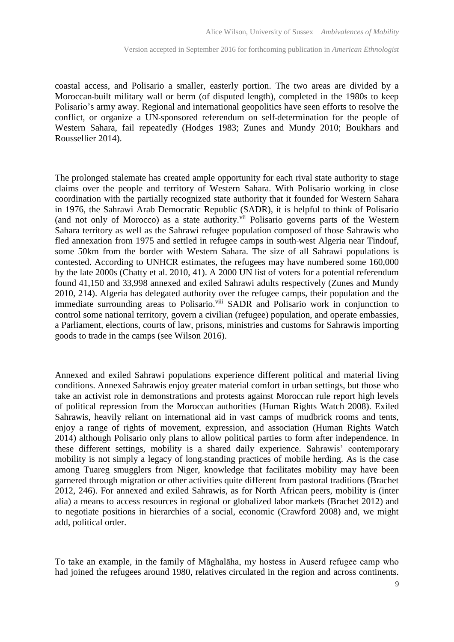coastal access, and Polisario a smaller, easterly portion. The two areas are divided by a Moroccan-built military wall or berm (of disputed length), completed in the 1980s to keep Polisario's army away. Regional and international geopolitics have seen efforts to resolve the conflict, or organize a UN-sponsored referendum on self-determination for the people of Western Sahara, fail repeatedly (Hodges 1983; Zunes and Mundy 2010; Boukhars and Roussellier 2014).

The prolonged stalemate has created ample opportunity for each rival state authority to stage claims over the people and territory of Western Sahara. With Polisario working in close coordination with the partially recognized state authority that it founded for Western Sahara in 1976, the Sahrawi Arab Democratic Republic (SADR), it is helpful to think of Polisario (and not only of Morocco) as a state authority.<sup>vii</sup> Polisario governs parts of the Western Sahara territory as well as the Sahrawi refugee population composed of those Sahrawis who fled annexation from 1975 and settled in refugee camps in south-west Algeria near Tindouf, some 50km from the border with Western Sahara. The size of all Sahrawi populations is contested. According to UNHCR estimates, the refugees may have numbered some 160,000 by the late 2000s (Chatty et al. 2010, 41). A 2000 UN list of voters for a potential referendum found 41,150 and 33,998 annexed and exiled Sahrawi adults respectively (Zunes and Mundy 2010, 214). Algeria has delegated authority over the refugee camps, their population and the immediate surrounding areas to Polisario.<sup>viii</sup> SADR and Polisario work in conjunction to control some national territory, govern a civilian (refugee) population, and operate embassies, a Parliament, elections, courts of law, prisons, ministries and customs for Sahrawis importing goods to trade in the camps (see Wilson 2016).

Annexed and exiled Sahrawi populations experience different political and material living conditions. Annexed Sahrawis enjoy greater material comfort in urban settings, but those who take an activist role in demonstrations and protests against Moroccan rule report high levels of political repression from the Moroccan authorities (Human Rights Watch 2008). Exiled Sahrawis, heavily reliant on international aid in vast camps of mudbrick rooms and tents, enjoy a range of rights of movement, expression, and association (Human Rights Watch 2014) although Polisario only plans to allow political parties to form after independence. In these different settings, mobility is a shared daily experience. Sahrawis' contemporary mobility is not simply a legacy of long-standing practices of mobile herding. As is the case among Tuareg smugglers from Niger, knowledge that facilitates mobility may have been garnered through migration or other activities quite different from pastoral traditions (Brachet 2012, 246). For annexed and exiled Sahrawis, as for North African peers, mobility is (inter alia) a means to access resources in regional or globalized labor markets (Brachet 2012) and to negotiate positions in hierarchies of a social, economic (Crawford 2008) and, we might add, political order.

To take an example, in the family of Māghalāha, my hostess in Auserd refugee camp who had joined the refugees around 1980, relatives circulated in the region and across continents.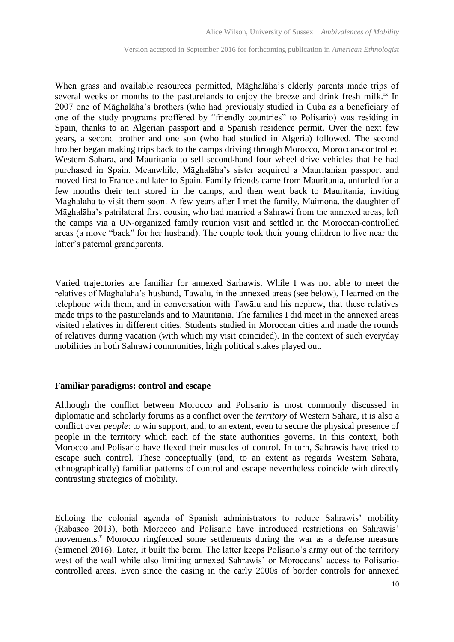When grass and available resources permitted, Māghalāha's elderly parents made trips of several weeks or months to the pasturelands to enjoy the breeze and drink fresh milk.<sup>ix</sup> In 2007 one of Māghalāha's brothers (who had previously studied in Cuba as a beneficiary of one of the study programs proffered by "friendly countries" to Polisario) was residing in Spain, thanks to an Algerian passport and a Spanish residence permit. Over the next few years, a second brother and one son (who had studied in Algeria) followed. The second brother began making trips back to the camps driving through Morocco, Moroccan-controlled Western Sahara, and Mauritania to sell second-hand four wheel drive vehicles that he had purchased in Spain. Meanwhile, Māghalāha's sister acquired a Mauritanian passport and moved first to France and later to Spain. Family friends came from Mauritania, unfurled for a few months their tent stored in the camps, and then went back to Mauritania, inviting Māghalāha to visit them soon. A few years after I met the family, Maimona, the daughter of Māghalāha's patrilateral first cousin, who had married a Sahrawi from the annexed areas, left the camps via a UN-organized family reunion visit and settled in the Moroccan-controlled areas (a move "back" for her husband). The couple took their young children to live near the latter's paternal grandparents.

Varied trajectories are familiar for annexed Sarhawis. While I was not able to meet the relatives of Māghalāha's husband, Tawālu, in the annexed areas (see below), I learned on the telephone with them, and in conversation with Tawālu and his nephew, that these relatives made trips to the pasturelands and to Mauritania. The families I did meet in the annexed areas visited relatives in different cities. Students studied in Moroccan cities and made the rounds of relatives during vacation (with which my visit coincided). In the context of such everyday mobilities in both Sahrawi communities, high political stakes played out.

#### **Familiar paradigms: control and escape**

Although the conflict between Morocco and Polisario is most commonly discussed in diplomatic and scholarly forums as a conflict over the *territory* of Western Sahara, it is also a conflict over *people*: to win support, and, to an extent, even to secure the physical presence of people in the territory which each of the state authorities governs. In this context, both Morocco and Polisario have flexed their muscles of control. In turn, Sahrawis have tried to escape such control. These conceptually (and, to an extent as regards Western Sahara, ethnographically) familiar patterns of control and escape nevertheless coincide with directly contrasting strategies of mobility.

Echoing the colonial agenda of Spanish administrators to reduce Sahrawis' mobility (Rabasco 2013), both Morocco and Polisario have introduced restrictions on Sahrawis' movements.<sup>x</sup> Morocco ringfenced some settlements during the war as a defense measure (Simenel 2016). Later, it built the berm. The latter keeps Polisario's army out of the territory west of the wall while also limiting annexed Sahrawis' or Moroccans' access to Polisariocontrolled areas. Even since the easing in the early 2000s of border controls for annexed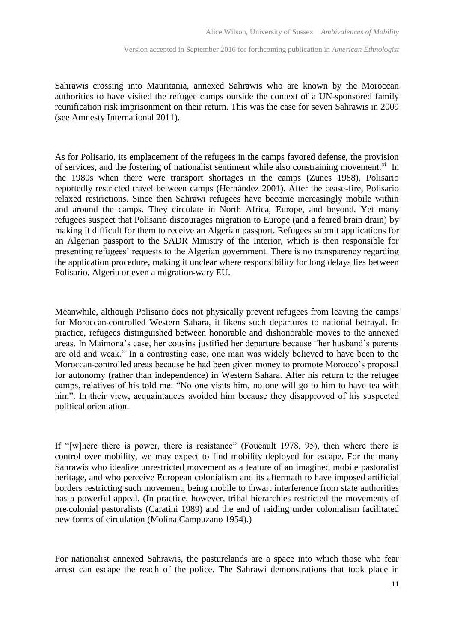Sahrawis crossing into Mauritania, annexed Sahrawis who are known by the Moroccan authorities to have visited the refugee camps outside the context of a UN-sponsored family reunification risk imprisonment on their return. This was the case for seven Sahrawis in 2009 (see Amnesty International 2011).

As for Polisario, its emplacement of the refugees in the camps favored defense, the provision of services, and the fostering of nationalist sentiment while also constraining movement.<sup>xi</sup> In the 1980s when there were transport shortages in the camps (Zunes 1988), Polisario reportedly restricted travel between camps (Hernández 2001). After the cease-fire, Polisario relaxed restrictions. Since then Sahrawi refugees have become increasingly mobile within and around the camps. They circulate in North Africa, Europe, and beyond. Yet many refugees suspect that Polisario discourages migration to Europe (and a feared brain drain) by making it difficult for them to receive an Algerian passport. Refugees submit applications for an Algerian passport to the SADR Ministry of the Interior, which is then responsible for presenting refugees' requests to the Algerian government. There is no transparency regarding the application procedure, making it unclear where responsibility for long delays lies between Polisario, Algeria or even a migration-wary EU.

Meanwhile, although Polisario does not physically prevent refugees from leaving the camps for Moroccan-controlled Western Sahara, it likens such departures to national betrayal. In practice, refugees distinguished between honorable and dishonorable moves to the annexed areas. In Maimona's case, her cousins justified her departure because "her husband's parents are old and weak." In a contrasting case, one man was widely believed to have been to the Moroccan-controlled areas because he had been given money to promote Morocco's proposal for autonomy (rather than independence) in Western Sahara. After his return to the refugee camps, relatives of his told me: "No one visits him, no one will go to him to have tea with him". In their view, acquaintances avoided him because they disapproved of his suspected political orientation.

If "[w]here there is power, there is resistance" (Foucault 1978, 95), then where there is control over mobility, we may expect to find mobility deployed for escape. For the many Sahrawis who idealize unrestricted movement as a feature of an imagined mobile pastoralist heritage, and who perceive European colonialism and its aftermath to have imposed artificial borders restricting such movement, being mobile to thwart interference from state authorities has a powerful appeal. (In practice, however, tribal hierarchies restricted the movements of pre-colonial pastoralists (Caratini 1989) and the end of raiding under colonialism facilitated new forms of circulation (Molina Campuzano 1954).)

For nationalist annexed Sahrawis, the pasturelands are a space into which those who fear arrest can escape the reach of the police. The Sahrawi demonstrations that took place in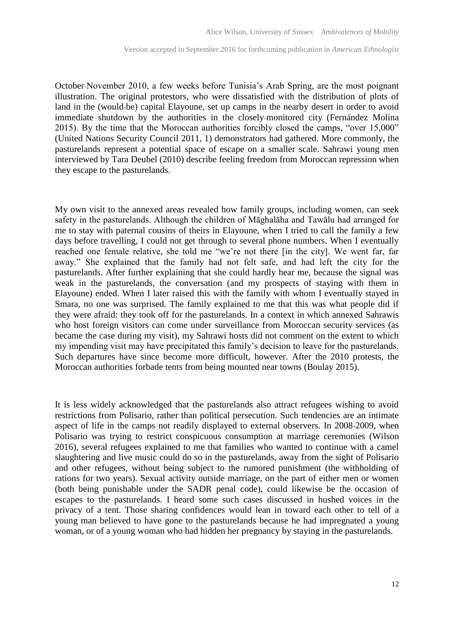October-November 2010, a few weeks before Tunisia's Arab Spring, are the most poignant illustration. The original protestors, who were dissatisfied with the distribution of plots of land in the (would-be) capital Elayoune, set up camps in the nearby desert in order to avoid immediate shutdown by the authorities in the closely-monitored city (Fernández Molina 2015). By the time that the Moroccan authorities forcibly closed the camps, "over 15,000" (United Nations Security Council 2011, 1) demonstrators had gathered. More commonly, the pasturelands represent a potential space of escape on a smaller scale. Sahrawi young men interviewed by Tara Deubel (2010) describe feeling freedom from Moroccan repression when they escape to the pasturelands.

My own visit to the annexed areas revealed how family groups, including women, can seek safety in the pasturelands. Although the children of Māghalāha and Tawālu had arranged for me to stay with paternal cousins of theirs in Elayoune, when I tried to call the family a few days before travelling, I could not get through to several phone numbers. When I eventually reached one female relative, she told me "we're not there [in the city]. We went far, far away." She explained that the family had not felt safe, and had left the city for the pasturelands. After further explaining that she could hardly hear me, because the signal was weak in the pasturelands, the conversation (and my prospects of staying with them in Elayoune) ended. When I later raised this with the family with whom I eventually stayed in Smara, no one was surprised. The family explained to me that this was what people did if they were afraid: they took off for the pasturelands. In a context in which annexed Sahrawis who host foreign visitors can come under surveillance from Moroccan security services (as became the case during my visit), my Sahrawi hosts did not comment on the extent to which my impending visit may have precipitated this family's decision to leave for the pasturelands. Such departures have since become more difficult, however. After the 2010 protests, the Moroccan authorities forbade tents from being mounted near towns (Boulay 2015).

It is less widely acknowledged that the pasturelands also attract refugees wishing to avoid restrictions from Polisario, rather than political persecution. Such tendencies are an intimate aspect of life in the camps not readily displayed to external observers. In 2008-2009, when Polisario was trying to restrict conspicuous consumption at marriage ceremonies (Wilson 2016), several refugees explained to me that families who wanted to continue with a camel slaughtering and live music could do so in the pasturelands, away from the sight of Polisario and other refugees, without being subject to the rumored punishment (the withholding of rations for two years). Sexual activity outside marriage, on the part of either men or women (both being punishable under the SADR penal code), could likewise be the occasion of escapes to the pasturelands. I heard some such cases discussed in hushed voices in the privacy of a tent. Those sharing confidences would lean in toward each other to tell of a young man believed to have gone to the pasturelands because he had impregnated a young woman, or of a young woman who had hidden her pregnancy by staying in the pasturelands.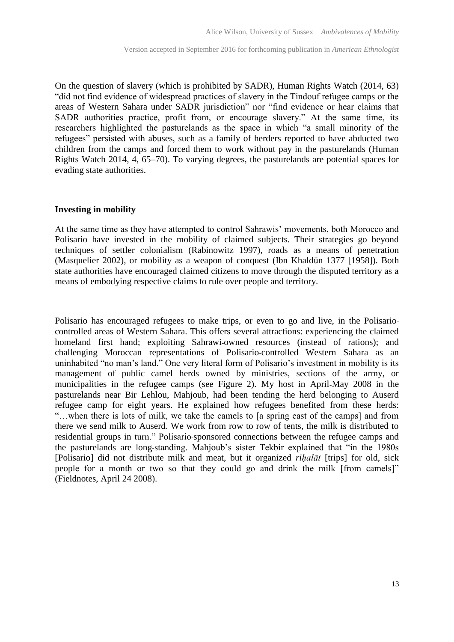On the question of slavery (which is prohibited by SADR), Human Rights Watch (2014, 63) "did not find evidence of widespread practices of slavery in the Tindouf refugee camps or the areas of Western Sahara under SADR jurisdiction" nor "find evidence or hear claims that SADR authorities practice, profit from, or encourage slavery." At the same time, its researchers highlighted the pasturelands as the space in which "a small minority of the refugees" persisted with abuses, such as a family of herders reported to have abducted two children from the camps and forced them to work without pay in the pasturelands (Human Rights Watch 2014, 4, 65–70). To varying degrees, the pasturelands are potential spaces for evading state authorities.

#### **Investing in mobility**

At the same time as they have attempted to control Sahrawis' movements, both Morocco and Polisario have invested in the mobility of claimed subjects. Their strategies go beyond techniques of settler colonialism (Rabinowitz 1997), roads as a means of penetration (Masquelier 2002), or mobility as a weapon of conquest (Ibn Khaldūn 1377 [1958]). Both state authorities have encouraged claimed citizens to move through the disputed territory as a means of embodying respective claims to rule over people and territory.

Polisario has encouraged refugees to make trips, or even to go and live, in the Polisariocontrolled areas of Western Sahara. This offers several attractions: experiencing the claimed homeland first hand; exploiting Sahrawi-owned resources (instead of rations); and challenging Moroccan representations of Polisario-controlled Western Sahara as an uninhabited "no man's land." One very literal form of Polisario's investment in mobility is its management of public camel herds owned by ministries, sections of the army, or municipalities in the refugee camps (see Figure 2). My host in April-May 2008 in the pasturelands near Bir Lehlou, Mahjoub, had been tending the herd belonging to Auserd refugee camp for eight years. He explained how refugees benefited from these herds: "…when there is lots of milk, we take the camels to [a spring east of the camps] and from there we send milk to Auserd. We work from row to row of tents, the milk is distributed to residential groups in turn." Polisario-sponsored connections between the refugee camps and the pasturelands are long-standing. Mahjoub's sister Tekbir explained that "in the 1980s [Polisario] did not distribute milk and meat, but it organized *rihalāt* [trips] for old, sick people for a month or two so that they could go and drink the milk [from camels]" (Fieldnotes, April 24 2008).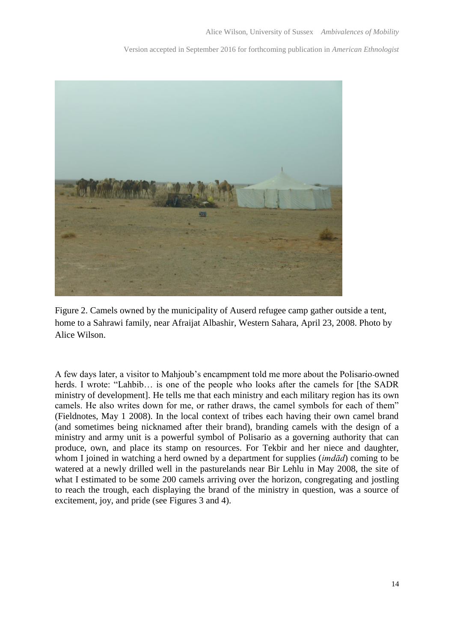

Figure 2. Camels owned by the municipality of Auserd refugee camp gather outside a tent, home to a Sahrawi family, near Afraijat Albashir, Western Sahara, April 23, 2008. Photo by Alice Wilson.

A few days later, a visitor to Mahjoub's encampment told me more about the Polisario-owned herds. I wrote: "Lahbib... is one of the people who looks after the camels for [the SADR ministry of development]. He tells me that each ministry and each military region has its own camels. He also writes down for me, or rather draws, the camel symbols for each of them" (Fieldnotes, May 1 2008). In the local context of tribes each having their own camel brand (and sometimes being nicknamed after their brand), branding camels with the design of a ministry and army unit is a powerful symbol of Polisario as a governing authority that can produce, own, and place its stamp on resources. For Tekbir and her niece and daughter, whom I joined in watching a herd owned by a department for supplies (*imdād*) coming to be watered at a newly drilled well in the pasturelands near Bir Lehlu in May 2008, the site of what I estimated to be some 200 camels arriving over the horizon, congregating and jostling to reach the trough, each displaying the brand of the ministry in question, was a source of excitement, joy, and pride (see Figures 3 and 4).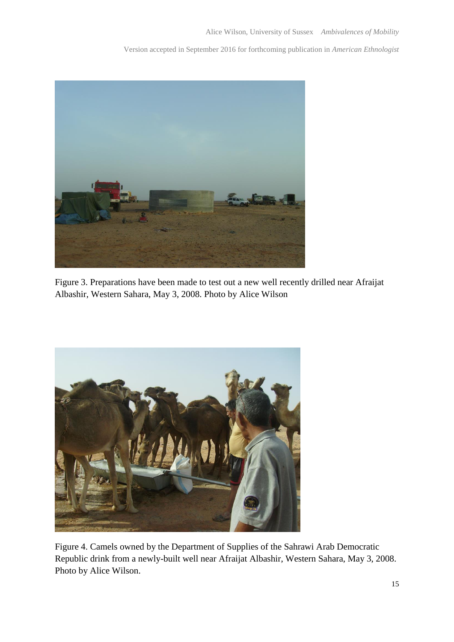

Figure 3. Preparations have been made to test out a new well recently drilled near Afraijat Albashir, Western Sahara, May 3, 2008. Photo by Alice Wilson



Figure 4. Camels owned by the Department of Supplies of the Sahrawi Arab Democratic Republic drink from a newly-built well near Afraijat Albashir, Western Sahara, May 3, 2008. Photo by Alice Wilson.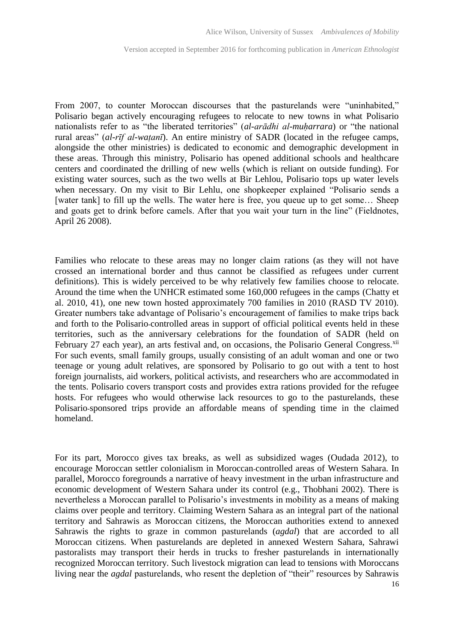From 2007, to counter Moroccan discourses that the pasturelands were "uninhabited," Polisario began actively encouraging refugees to relocate to new towns in what Polisario nationalists refer to as "the liberated territories" *(al-arādhi al-muharrara)* or "the national rural areas" (*al-rīf al-watanī*). An entire ministry of SADR (located in the refugee camps, alongside the other ministries) is dedicated to economic and demographic development in these areas. Through this ministry, Polisario has opened additional schools and healthcare centers and coordinated the drilling of new wells (which is reliant on outside funding). For existing water sources, such as the two wells at Bir Lehlou, Polisario tops up water levels when necessary. On my visit to Bir Lehlu, one shopkeeper explained "Polisario sends a [water tank] to fill up the wells. The water here is free, you queue up to get some... Sheep and goats get to drink before camels. After that you wait your turn in the line" (Fieldnotes, April 26 2008).

Families who relocate to these areas may no longer claim rations (as they will not have crossed an international border and thus cannot be classified as refugees under current definitions). This is widely perceived to be why relatively few families choose to relocate. Around the time when the UNHCR estimated some 160,000 refugees in the camps (Chatty et al. 2010, 41), one new town hosted approximately 700 families in 2010 (RASD TV 2010). Greater numbers take advantage of Polisario's encouragement of families to make trips back and forth to the Polisario-controlled areas in support of official political events held in these territories, such as the anniversary celebrations for the foundation of SADR (held on February 27 each year), an arts festival and, on occasions, the Polisario General Congress.<sup>xii</sup> For such events, small family groups, usually consisting of an adult woman and one or two teenage or young adult relatives, are sponsored by Polisario to go out with a tent to host foreign journalists, aid workers, political activists, and researchers who are accommodated in the tents. Polisario covers transport costs and provides extra rations provided for the refugee hosts. For refugees who would otherwise lack resources to go to the pasturelands, these Polisario-sponsored trips provide an affordable means of spending time in the claimed homeland.

For its part, Morocco gives tax breaks, as well as subsidized wages (Oudada 2012), to encourage Moroccan settler colonialism in Moroccan-controlled areas of Western Sahara. In parallel, Morocco foregrounds a narrative of heavy investment in the urban infrastructure and economic development of Western Sahara under its control (e.g., Thobhani 2002). There is nevertheless a Moroccan parallel to Polisario's investments in mobility as a means of making claims over people and territory. Claiming Western Sahara as an integral part of the national territory and Sahrawis as Moroccan citizens, the Moroccan authorities extend to annexed Sahrawis the rights to graze in common pasturelands (*agdal*) that are accorded to all Moroccan citizens. When pasturelands are depleted in annexed Western Sahara, Sahrawi pastoralists may transport their herds in trucks to fresher pasturelands in internationally recognized Moroccan territory. Such livestock migration can lead to tensions with Moroccans living near the *agdal* pasturelands, who resent the depletion of "their" resources by Sahrawis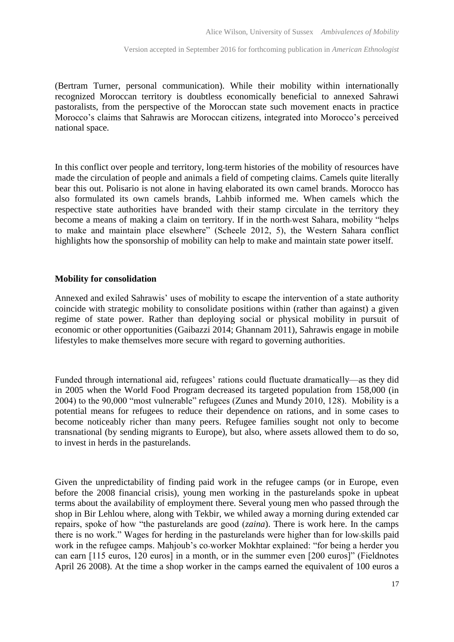(Bertram Turner, personal communication). While their mobility within internationally recognized Moroccan territory is doubtless economically beneficial to annexed Sahrawi pastoralists, from the perspective of the Moroccan state such movement enacts in practice Morocco's claims that Sahrawis are Moroccan citizens, integrated into Morocco's perceived national space.

In this conflict over people and territory, long-term histories of the mobility of resources have made the circulation of people and animals a field of competing claims. Camels quite literally bear this out. Polisario is not alone in having elaborated its own camel brands. Morocco has also formulated its own camels brands, Lahbib informed me. When camels which the respective state authorities have branded with their stamp circulate in the territory they become a means of making a claim on territory. If in the north-west Sahara, mobility "helps to make and maintain place elsewhere" (Scheele 2012, 5), the Western Sahara conflict highlights how the sponsorship of mobility can help to make and maintain state power itself.

#### **Mobility for consolidation**

Annexed and exiled Sahrawis' uses of mobility to escape the intervention of a state authority coincide with strategic mobility to consolidate positions within (rather than against) a given regime of state power. Rather than deploying social or physical mobility in pursuit of economic or other opportunities (Gaibazzi 2014; Ghannam 2011), Sahrawis engage in mobile lifestyles to make themselves more secure with regard to governing authorities.

Funded through international aid, refugees' rations could fluctuate dramatically—as they did in 2005 when the World Food Program decreased its targeted population from 158,000 (in 2004) to the 90,000 "most vulnerable" refugees (Zunes and Mundy 2010, 128). Mobility is a potential means for refugees to reduce their dependence on rations, and in some cases to become noticeably richer than many peers. Refugee families sought not only to become transnational (by sending migrants to Europe), but also, where assets allowed them to do so, to invest in herds in the pasturelands.

Given the unpredictability of finding paid work in the refugee camps (or in Europe, even before the 2008 financial crisis), young men working in the pasturelands spoke in upbeat terms about the availability of employment there. Several young men who passed through the shop in Bir Lehlou where, along with Tekbir, we whiled away a morning during extended car repairs, spoke of how "the pasturelands are good (*zaina*). There is work here. In the camps there is no work." Wages for herding in the pasturelands were higher than for low-skills paid work in the refugee camps. Mahjoub's co-worker Mokhtar explained: "for being a herder you can earn [115 euros, 120 euros] in a month, or in the summer even [200 euros]" (Fieldnotes April 26 2008). At the time a shop worker in the camps earned the equivalent of 100 euros a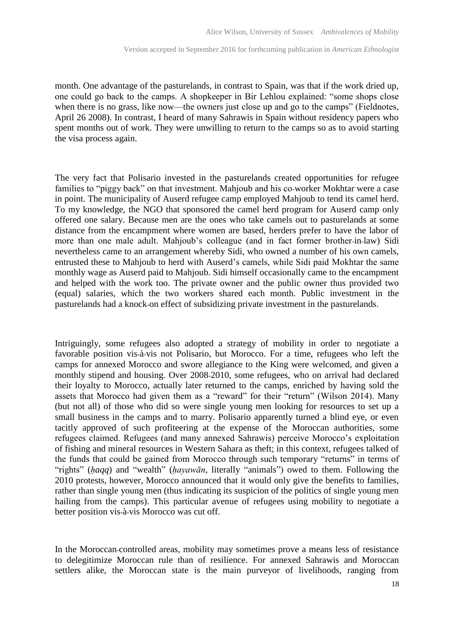month. One advantage of the pasturelands, in contrast to Spain, was that if the work dried up, one could go back to the camps. A shopkeeper in Bir Lehlou explained: "some shops close when there is no grass, like now—the owners just close up and go to the camps" (Fieldnotes, April 26 2008). In contrast, I heard of many Sahrawis in Spain without residency papers who spent months out of work. They were unwilling to return to the camps so as to avoid starting the visa process again.

The very fact that Polisario invested in the pasturelands created opportunities for refugee families to "piggy back" on that investment. Mahjoub and his co-worker Mokhtar were a case in point. The municipality of Auserd refugee camp employed Mahjoub to tend its camel herd. To my knowledge, the NGO that sponsored the camel herd program for Auserd camp only offered one salary. Because men are the ones who take camels out to pasturelands at some distance from the encampment where women are based, herders prefer to have the labor of more than one male adult. Mahjoub's colleague (and in fact former brother-in-law) Sidi nevertheless came to an arrangement whereby Sidi, who owned a number of his own camels, entrusted these to Mahjoub to herd with Auserd's camels, while Sidi paid Mokhtar the same monthly wage as Auserd paid to Mahjoub. Sidi himself occasionally came to the encampment and helped with the work too. The private owner and the public owner thus provided two (equal) salaries, which the two workers shared each month. Public investment in the pasturelands had a knock-on effect of subsidizing private investment in the pasturelands.

Intriguingly, some refugees also adopted a strategy of mobility in order to negotiate a favorable position vis-à-vis not Polisario, but Morocco. For a time, refugees who left the camps for annexed Morocco and swore allegiance to the King were welcomed, and given a monthly stipend and housing. Over 2008-2010, some refugees, who on arrival had declared their loyalty to Morocco, actually later returned to the camps, enriched by having sold the assets that Morocco had given them as a "reward" for their "return" (Wilson 2014). Many (but not all) of those who did so were single young men looking for resources to set up a small business in the camps and to marry. Polisario apparently turned a blind eye, or even tacitly approved of such profiteering at the expense of the Moroccan authorities, some refugees claimed. Refugees (and many annexed Sahrawis) perceive Morocco's exploitation of fishing and mineral resources in Western Sahara as theft; in this context, refugees talked of the funds that could be gained from Morocco through such temporary "returns" in terms of "rights" (haqq) and "wealth" (hayawān, literally "animals") owed to them. Following the 2010 protests, however, Morocco announced that it would only give the benefits to families, rather than single young men (thus indicating its suspicion of the politics of single young men hailing from the camps). This particular avenue of refugees using mobility to negotiate a better position vis-à-vis Morocco was cut off.

In the Moroccan-controlled areas, mobility may sometimes prove a means less of resistance to delegitimize Moroccan rule than of resilience. For annexed Sahrawis and Moroccan settlers alike, the Moroccan state is the main purveyor of livelihoods, ranging from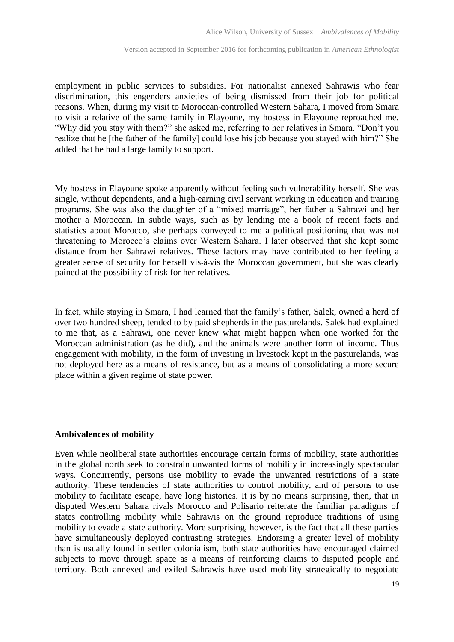employment in public services to subsidies. For nationalist annexed Sahrawis who fear discrimination, this engenders anxieties of being dismissed from their job for political reasons. When, during my visit to Moroccan-controlled Western Sahara, I moved from Smara to visit a relative of the same family in Elayoune, my hostess in Elayoune reproached me. "Why did you stay with them?" she asked me, referring to her relatives in Smara. "Don't you realize that he [the father of the family] could lose his job because you stayed with him?" She added that he had a large family to support.

My hostess in Elayoune spoke apparently without feeling such vulnerability herself. She was single, without dependents, and a high-earning civil servant working in education and training programs. She was also the daughter of a "mixed marriage", her father a Sahrawi and her mother a Moroccan. In subtle ways, such as by lending me a book of recent facts and statistics about Morocco, she perhaps conveyed to me a political positioning that was not threatening to Morocco's claims over Western Sahara. I later observed that she kept some distance from her Sahrawi relatives. These factors may have contributed to her feeling a greater sense of security for herself vis-à-vis the Moroccan government, but she was clearly pained at the possibility of risk for her relatives.

In fact, while staying in Smara, I had learned that the family's father, Salek, owned a herd of over two hundred sheep, tended to by paid shepherds in the pasturelands. Salek had explained to me that, as a Sahrawi, one never knew what might happen when one worked for the Moroccan administration (as he did), and the animals were another form of income. Thus engagement with mobility, in the form of investing in livestock kept in the pasturelands, was not deployed here as a means of resistance, but as a means of consolidating a more secure place within a given regime of state power.

#### **Ambivalences of mobility**

Even while neoliberal state authorities encourage certain forms of mobility, state authorities in the global north seek to constrain unwanted forms of mobility in increasingly spectacular ways. Concurrently, persons use mobility to evade the unwanted restrictions of a state authority. These tendencies of state authorities to control mobility, and of persons to use mobility to facilitate escape, have long histories. It is by no means surprising, then, that in disputed Western Sahara rivals Morocco and Polisario reiterate the familiar paradigms of states controlling mobility while Sahrawis on the ground reproduce traditions of using mobility to evade a state authority. More surprising, however, is the fact that all these parties have simultaneously deployed contrasting strategies. Endorsing a greater level of mobility than is usually found in settler colonialism, both state authorities have encouraged claimed subjects to move through space as a means of reinforcing claims to disputed people and territory. Both annexed and exiled Sahrawis have used mobility strategically to negotiate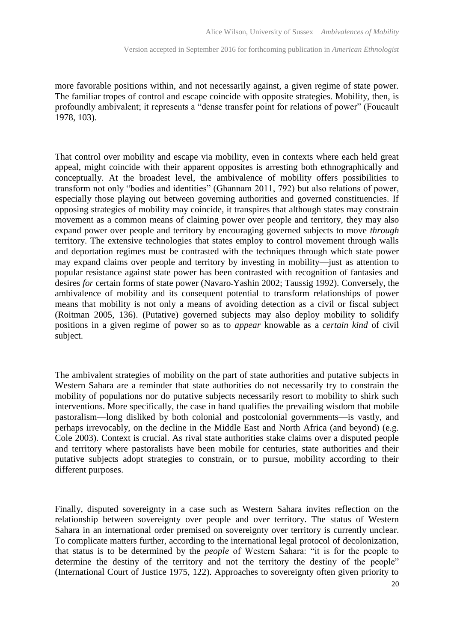more favorable positions within, and not necessarily against, a given regime of state power. The familiar tropes of control and escape coincide with opposite strategies. Mobility, then, is profoundly ambivalent; it represents a "dense transfer point for relations of power" (Foucault 1978, 103).

That control over mobility and escape via mobility, even in contexts where each held great appeal, might coincide with their apparent opposites is arresting both ethnographically and conceptually. At the broadest level, the ambivalence of mobility offers possibilities to transform not only "bodies and identities" (Ghannam 2011, 792) but also relations of power, especially those playing out between governing authorities and governed constituencies. If opposing strategies of mobility may coincide, it transpires that although states may constrain movement as a common means of claiming power over people and territory, they may also expand power over people and territory by encouraging governed subjects to move *through* territory. The extensive technologies that states employ to control movement through walls and deportation regimes must be contrasted with the techniques through which state power may expand claims over people and territory by investing in mobility—just as attention to popular resistance against state power has been contrasted with recognition of fantasies and desires *for* certain forms of state power (Navaro-Yashin 2002; Taussig 1992). Conversely, the ambivalence of mobility and its consequent potential to transform relationships of power means that mobility is not only a means of avoiding detection as a civil or fiscal subject (Roitman 2005, 136). (Putative) governed subjects may also deploy mobility to solidify positions in a given regime of power so as to *appear* knowable as a *certain kind* of civil subject.

The ambivalent strategies of mobility on the part of state authorities and putative subjects in Western Sahara are a reminder that state authorities do not necessarily try to constrain the mobility of populations nor do putative subjects necessarily resort to mobility to shirk such interventions. More specifically, the case in hand qualifies the prevailing wisdom that mobile pastoralism—long disliked by both colonial and postcolonial governments—is vastly, and perhaps irrevocably, on the decline in the Middle East and North Africa (and beyond) (e.g. Cole 2003). Context is crucial. As rival state authorities stake claims over a disputed people and territory where pastoralists have been mobile for centuries, state authorities and their putative subjects adopt strategies to constrain, or to pursue, mobility according to their different purposes.

Finally, disputed sovereignty in a case such as Western Sahara invites reflection on the relationship between sovereignty over people and over territory. The status of Western Sahara in an international order premised on sovereignty over territory is currently unclear. To complicate matters further, according to the international legal protocol of decolonization, that status is to be determined by the *people* of Western Sahara: "it is for the people to determine the destiny of the territory and not the territory the destiny of the people" (International Court of Justice 1975, 122). Approaches to sovereignty often given priority to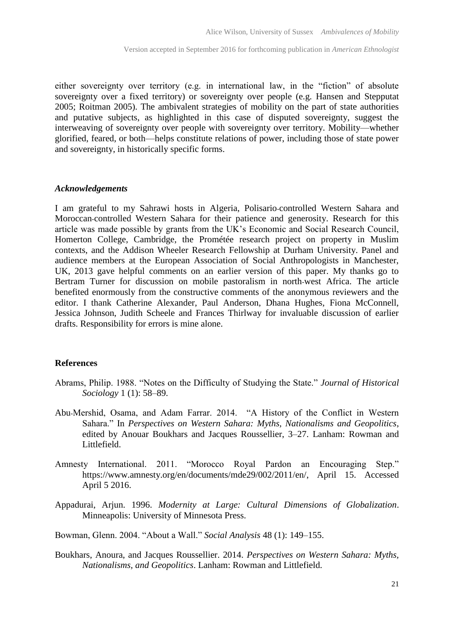either sovereignty over territory (e.g. in international law, in the "fiction" of absolute sovereignty over a fixed territory) or sovereignty over people (e.g. Hansen and Stepputat 2005; Roitman 2005). The ambivalent strategies of mobility on the part of state authorities and putative subjects, as highlighted in this case of disputed sovereignty, suggest the interweaving of sovereignty over people with sovereignty over territory. Mobility—whether glorified, feared, or both—helps constitute relations of power, including those of state power and sovereignty, in historically specific forms.

#### *Acknowledgements*

I am grateful to my Sahrawi hosts in Algeria, Polisario-controlled Western Sahara and Moroccan-controlled Western Sahara for their patience and generosity. Research for this article was made possible by grants from the UK's Economic and Social Research Council, Homerton College, Cambridge, the Prométée research project on property in Muslim contexts, and the Addison Wheeler Research Fellowship at Durham University. Panel and audience members at the European Association of Social Anthropologists in Manchester, UK, 2013 gave helpful comments on an earlier version of this paper. My thanks go to Bertram Turner for discussion on mobile pastoralism in north-west Africa. The article benefited enormously from the constructive comments of the anonymous reviewers and the editor. I thank Catherine Alexander, Paul Anderson, Dhana Hughes, Fiona McConnell, Jessica Johnson, Judith Scheele and Frances Thirlway for invaluable discussion of earlier drafts. Responsibility for errors is mine alone.

#### **References**

- Abrams, Philip. 1988. "Notes on the Difficulty of Studying the State." *Journal of Historical Sociology* 1 (1): 58–89.
- Abu-Mershid, Osama, and Adam Farrar. 2014. "A History of the Conflict in Western Sahara." In *Perspectives on Western Sahara: Myths, Nationalisms and Geopolitics*, edited by Anouar Boukhars and Jacques Roussellier, 3–27. Lanham: Rowman and Littlefield.
- Amnesty International. 2011. "Morocco Royal Pardon an Encouraging Step." [https://www.amnesty.org/en/documents/mde29/002/2011/en/,](https://www.amnesty.org/en/documents/mde29/002/2011/en/) April 15. Accessed April 5 2016.
- Appadurai, Arjun. 1996. *Modernity at Large: Cultural Dimensions of Globalization*. Minneapolis: University of Minnesota Press.

Bowman, Glenn. 2004. "About a Wall." *Social Analysis* 48 (1): 149–155.

Boukhars, Anoura, and Jacques Roussellier. 2014. *Perspectives on Western Sahara: Myths, Nationalisms, and Geopolitics*. Lanham: Rowman and Littlefield.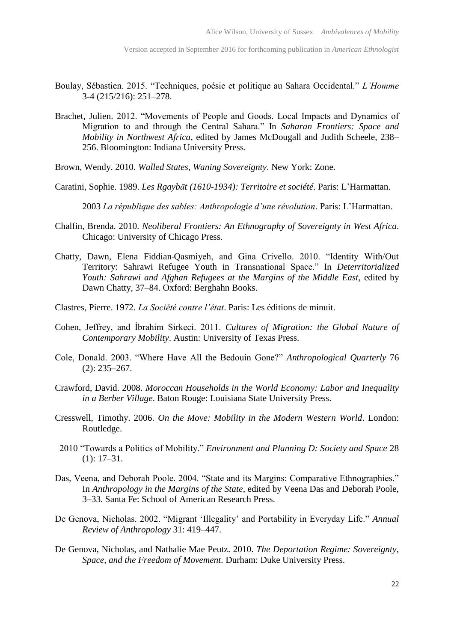- Boulay, Sébastien. 2015. "Techniques, poésie et politique au Sahara Occidental." *L'Homme*  3-4 (215/216): 251–278.
- Brachet, Julien. 2012. "Movements of People and Goods. Local Impacts and Dynamics of Migration to and through the Central Sahara." In *Saharan Frontiers: Space and Mobility in Northwest Africa*, edited by James McDougall and Judith Scheele, 238– 256. Bloomington: Indiana University Press.
- Brown, Wendy. 2010. *Walled States, Waning Sovereignty*. New York: Zone.
- Caratini, Sophie. 1989. *Les Rgaybāt (1610-1934): Territoire et société*. Paris: L'Harmattan.

2003 *La république des sables: Anthropologie d'une révolution*. Paris: L'Harmattan.

- Chalfin, Brenda. 2010. *Neoliberal Frontiers: An Ethnography of Sovereignty in West Africa*. Chicago: University of Chicago Press.
- Chatty, Dawn, Elena Fiddian-Qasmiyeh, and Gina Crivello. 2010. "Identity With/Out Territory: Sahrawi Refugee Youth in Transnational Space." In *Deterritorialized Youth: Sahrawi and Afghan Refugees at the Margins of the Middle East*, edited by Dawn Chatty, 37–84. Oxford: Berghahn Books.
- Clastres, Pierre. 1972. *La Société contre l'état*. Paris: Les éditions de minuit.
- Cohen, Jeffrey, and İbrahim Sirkeci. 2011. *Cultures of Migration: the Global Nature of Contemporary Mobility*. Austin: University of Texas Press.
- Cole, Donald. 2003. "Where Have All the Bedouin Gone?" *Anthropological Quarterly* 76 (2): 235–267.
- Crawford, David. 2008. *Moroccan Households in the World Economy: Labor and Inequality in a Berber Village*. Baton Rouge: Louisiana State University Press.
- Cresswell, Timothy. 2006. *On the Move: Mobility in the Modern Western World*. London: Routledge.
- 2010 "Towards a Politics of Mobility." *Environment and Planning D: Society and Space* 28 (1): 17–31.
- Das, Veena, and Deborah Poole. 2004. "State and its Margins: Comparative Ethnographies." In *Anthropology in the Margins of the State*, edited by Veena Das and Deborah Poole, 3–33. Santa Fe: School of American Research Press.
- De Genova, Nicholas. 2002. "Migrant 'Illegality' and Portability in Everyday Life." *Annual Review of Anthropology* 31: 419–447.
- De Genova, Nicholas, and Nathalie Mae Peutz. 2010. *The Deportation Regime: Sovereignty, Space, and the Freedom of Movement*. Durham: Duke University Press.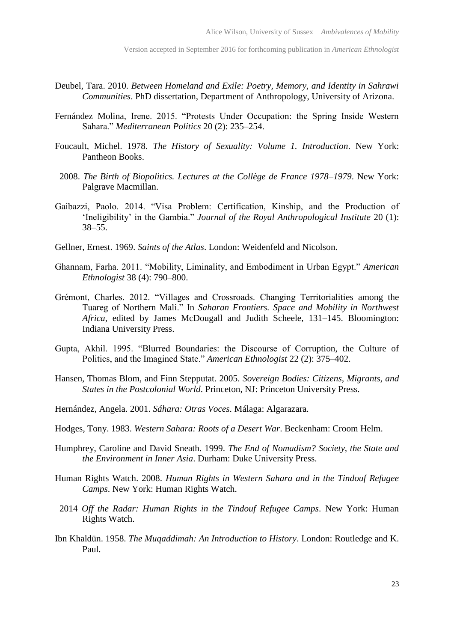- Deubel, Tara. 2010. *Between Homeland and Exile: Poetry, Memory, and Identity in Sahrawi Communities*. PhD dissertation, Department of Anthropology, University of Arizona.
- Fernández Molina, Irene. 2015. "Protests Under Occupation: the Spring Inside Western Sahara." *Mediterranean Politics* 20 (2): 235–254.
- Foucault, Michel. 1978. *The History of Sexuality: Volume 1. Introduction*. New York: Pantheon Books.
- 2008. *The Birth of Biopolitics. Lectures at the Collège de France 1978–1979*. New York: Palgrave Macmillan.
- Gaibazzi, Paolo. 2014. "Visa Problem: Certification, Kinship, and the Production of 'Ineligibility' in the Gambia." *Journal of the Royal Anthropological Institute* 20 (1): 38–55.
- Gellner, Ernest. 1969. *Saints of the Atlas*. London: Weidenfeld and Nicolson.
- Ghannam, Farha. 2011. "Mobility, Liminality, and Embodiment in Urban Egypt." *American Ethnologist* 38 (4): 790–800.
- Grémont, Charles. 2012. "Villages and Crossroads. Changing Territorialities among the Tuareg of Northern Mali." In *Saharan Frontiers. Space and Mobility in Northwest Africa*, edited by James McDougall and Judith Scheele, 131–145. Bloomington: Indiana University Press.
- Gupta, Akhil. 1995. "Blurred Boundaries: the Discourse of Corruption, the Culture of Politics, and the Imagined State." *American Ethnologist* 22 (2): 375–402.
- Hansen, Thomas Blom, and Finn Stepputat. 2005. *Sovereign Bodies: Citizens, Migrants, and States in the Postcolonial World*. Princeton, NJ: Princeton University Press.
- Hernández, Angela. 2001. *Sáhara: Otras Voces*. Málaga: Algarazara.
- Hodges, Tony. 1983. *Western Sahara: Roots of a Desert War*. Beckenham: Croom Helm.
- Humphrey, Caroline and David Sneath. 1999. *The End of Nomadism? Society, the State and the Environment in Inner Asia*. Durham: Duke University Press.
- Human Rights Watch. 2008. *Human Rights in Western Sahara and in the Tindouf Refugee Camps*. New York: Human Rights Watch.
- 2014 *Off the Radar: Human Rights in the Tindouf Refugee Camps*. New York: Human Rights Watch.
- Ibn Khaldūn. 1958. *The Muqaddimah: An Introduction to History*. London: Routledge and K. Paul.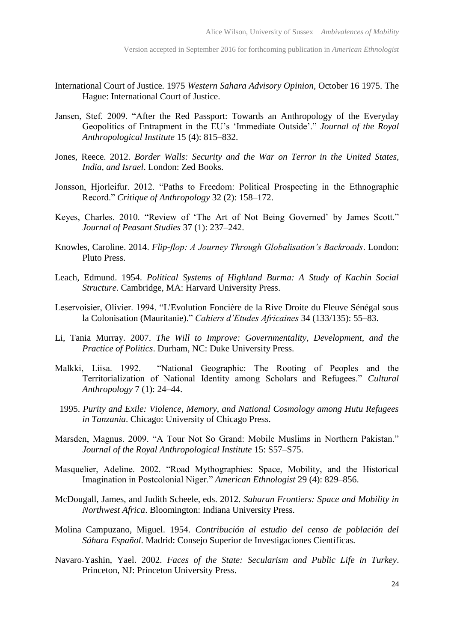- International Court of Justice. 1975 *Western Sahara Advisory Opinion*, October 16 1975. The Hague: International Court of Justice.
- Jansen, Stef. 2009. "After the Red Passport: Towards an Anthropology of the Everyday Geopolitics of Entrapment in the EU's 'Immediate Outside'." *Journal of the Royal Anthropological Institute* 15 (4): 815–832.
- Jones, Reece. 2012. *Border Walls: Security and the War on Terror in the United States, India, and Israel*. London: Zed Books.
- Jonsson, Hjorleifur. 2012. "Paths to Freedom: Political Prospecting in the Ethnographic Record." *Critique of Anthropology* 32 (2): 158–172.
- Keyes, Charles. 2010. "Review of 'The Art of Not Being Governed' by James Scott." *Journal of Peasant Studies* 37 (1): 237–242.
- Knowles, Caroline. 2014. *Flip-flop: A Journey Through Globalisation's Backroads*. London: Pluto Press.
- Leach, Edmund. 1954. *Political Systems of Highland Burma: A Study of Kachin Social Structure*. Cambridge, MA: Harvard University Press.
- Leservoisier, Olivier. 1994. "L'Evolution Foncière de la Rive Droite du Fleuve Sénégal sous la Colonisation (Mauritanie)." *Cahiers d'Etudes Africaines* 34 (133/135): 55–83.
- Li, Tania Murray. 2007. *The Will to Improve: Governmentality, Development, and the Practice of Politics*. Durham, NC: Duke University Press.
- Malkki, Liisa. 1992. "National Geographic: The Rooting of Peoples and the Territorialization of National Identity among Scholars and Refugees." *Cultural Anthropology* 7 (1): 24–44.
- 1995. *Purity and Exile: Violence, Memory, and National Cosmology among Hutu Refugees in Tanzania*. Chicago: University of Chicago Press.
- Marsden, Magnus. 2009. "A Tour Not So Grand: Mobile Muslims in Northern Pakistan." *Journal of the Royal Anthropological Institute* 15: S57–S75.
- Masquelier, Adeline. 2002. "Road Mythographies: Space, Mobility, and the Historical Imagination in Postcolonial Niger." *American Ethnologist* 29 (4): 829–856.
- McDougall, James, and Judith Scheele, eds. 2012. *Saharan Frontiers: Space and Mobility in Northwest Africa*. Bloomington: Indiana University Press.
- Molina Campuzano, Miguel. 1954. *Contribución al estudio del censo de población del Sáhara Español*. Madrid: Consejo Superior de Investigaciones Científicas.
- Navaro-Yashin, Yael. 2002. *Faces of the State: Secularism and Public Life in Turkey*. Princeton, NJ: Princeton University Press.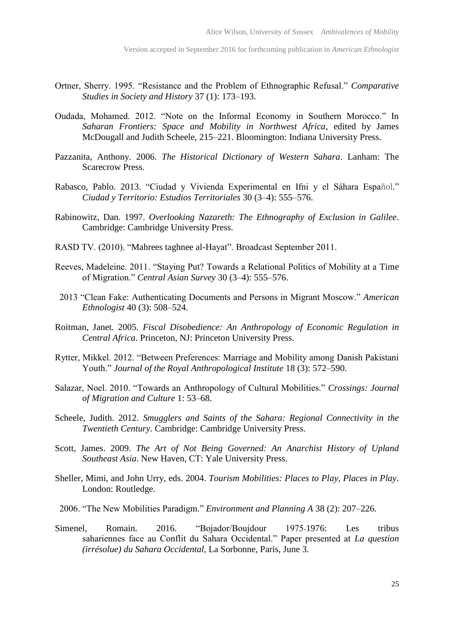- Ortner, Sherry. 1995. "Resistance and the Problem of Ethnographic Refusal." *Comparative Studies in Society and History* 37 (1): 173–193.
- Oudada, Mohamed. 2012. "Note on the Informal Economy in Southern Morocco." In *Saharan Frontiers: Space and Mobility in Northwest Africa*, edited by James McDougall and Judith Scheele, 215–221. Bloomington: Indiana University Press.
- Pazzanita, Anthony. 2006. *The Historical Dictionary of Western Sahara*. Lanham: The Scarecrow Press.
- Rabasco, Pablo. 2013. "Ciudad y Vivienda Experimental en Ifni y el Sáhara Español." *Ciudad y Territorio: Estudios Territoriales* 30 (3–4): 555–576.
- Rabinowitz, Dan. 1997. *Overlooking Nazareth: The Ethnography of Exclusion in Galilee*. Cambridge: Cambridge University Press.
- RASD TV. (2010). "Mahrees taghnee al-Hayat". Broadcast September 2011.
- Reeves, Madeleine. 2011. "Staying Put? Towards a Relational Politics of Mobility at a Time of Migration." *Central Asian Survey* 30 (3–4): 555–576.
- 2013 "Clean Fake: Authenticating Documents and Persons in Migrant Moscow." *American Ethnologist* 40 (3): 508–524.
- Roitman, Janet. 2005. *Fiscal Disobedience: An Anthropology of Economic Regulation in Central Africa*. Princeton, NJ: Princeton University Press.
- Rytter, Mikkel. 2012. "Between Preferences: Marriage and Mobility among Danish Pakistani Youth." *Journal of the Royal Anthropological Institute* 18 (3): 572–590.
- Salazar, Noel. 2010. "Towards an Anthropology of Cultural Mobilities." *Crossings: Journal of Migration and Culture* 1: 53–68.
- Scheele, Judith. 2012. *Smugglers and Saints of the Sahara: Regional Connectivity in the Twentieth Century.* Cambridge: Cambridge University Press.
- Scott, James. 2009. *The Art of Not Being Governed: An Anarchist History of Upland Southeast Asia*. New Haven, CT: Yale University Press.
- Sheller, Mimi, and John Urry, eds. 2004. *Tourism Mobilities: Places to Play, Places in Play*. London: Routledge.
- 2006. "The New Mobilities Paradigm." *Environment and Planning A* 38 (2): 207–226.
- Simenel, Romain. 2016. "Bojador/Boujdour 1975-1976: Les tribus sahariennes face au Conflit du Sahara Occidental." Paper presented at *La question (irrésolue) du Sahara Occidental*, La Sorbonne, Paris, June 3.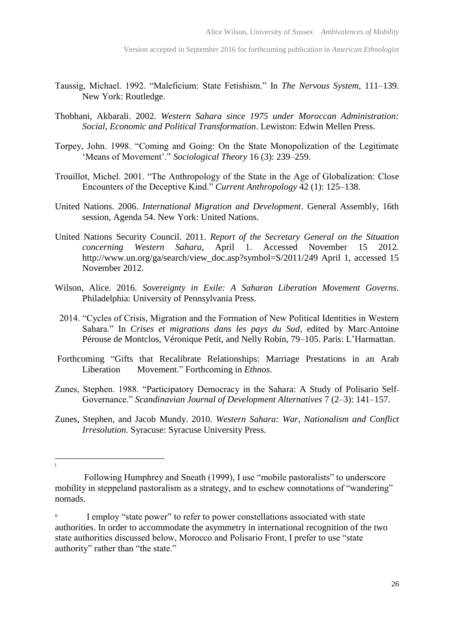- Taussig, Michael. 1992. "Maleficium: State Fetishism." In *The Nervous System*, 111–139. New York: Routledge.
- Thobhani, Akbarali. 2002. *Western Sahara since 1975 under Moroccan Administration: Social, Economic and Political Transformation*. Lewiston: Edwin Mellen Press.
- Torpey, John. 1998. "Coming and Going: On the State Monopolization of the Legitimate 'Means of Movement'." *Sociological Theory* 16 (3): 239–259.
- Trouillot, Michel. 2001. "The Anthropology of the State in the Age of Globalization: Close Encounters of the Deceptive Kind." *Current Anthropology* 42 (1): 125–138.
- United Nations. 2006. *International Migration and Development*. General Assembly, 16th session, Agenda 54. New York: United Nations.
- United Nations Security Council. 2011. *Report of the Secretary General on the Situation concerning Western Sahara*, April 1. Accessed November 15 2012. http://www.un.org/ga/search/view\_doc.asp?symbol=S/2011/249 April 1, accessed 15 November 2012.
- Wilson, Alice. 2016. *Sovereignty in Exile: A Saharan Liberation Movement Governs*. Philadelphia: University of Pennsylvania Press.
- 2014. "Cycles of Crisis, Migration and the Formation of New Political Identities in Western Sahara." In *Crises et migrations dans les pays du Sud*, edited by Marc-Antoine Pérouse de Montclos, Véronique Petit, and Nelly Robin, 79–105. Paris: L'Harmattan.
- Forthcoming "Gifts that Recalibrate Relationships: Marriage Prestations in an Arab Liberation Movement." Forthcoming in *Ethnos*.
- Zunes, Stephen. 1988. "Participatory Democracy in the Sahara: A Study of Polisario Self-Governance." *Scandinavian Journal of Development Alternatives* 7 (2–3): 141–157.
- Zunes, Stephen, and Jacob Mundy. 2010. *Western Sahara: War, Nationalism and Conflict Irresolution*. Syracuse: Syracuse University Press.

 i

Following Humphrey and Sneath (1999), I use "mobile pastoralists" to underscore mobility in steppeland pastoralism as a strategy, and to eschew connotations of "wandering" nomads.

<sup>&</sup>lt;sup>ii</sup> I employ "state power" to refer to power constellations associated with state authorities. In order to accommodate the asymmetry in international recognition of the two state authorities discussed below, Morocco and Polisario Front, I prefer to use "state authority" rather than "the state."